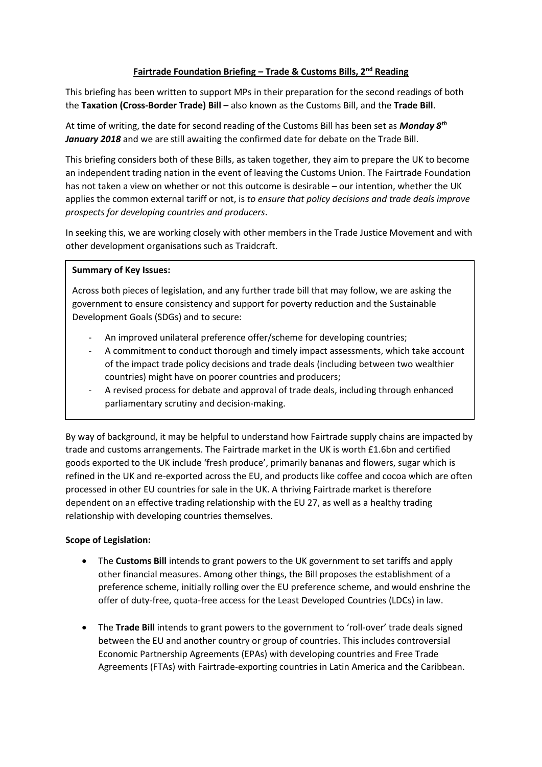#### **Fairtrade Foundation Briefing – Trade & Customs Bills, 2nd Reading**

This briefing has been written to support MPs in their preparation for the second readings of both the **Taxation (Cross-Border Trade) Bill** – also known as the Customs Bill, and the **Trade Bill**.

At time of writing, the date for second reading of the Customs Bill has been set as *Monday 8th January 2018* and we are still awaiting the confirmed date for debate on the Trade Bill.

This briefing considers both of these Bills, as taken together, they aim to prepare the UK to become an independent trading nation in the event of leaving the Customs Union. The Fairtrade Foundation has not taken a view on whether or not this outcome is desirable – our intention, whether the UK applies the common external tariff or not, is *to ensure that policy decisions and trade deals improve prospects for developing countries and producers*.

In seeking this, we are working closely with other members in the Trade Justice Movement and with other development organisations such as Traidcraft.

#### **Summary of Key Issues:**

Across both pieces of legislation, and any further trade bill that may follow, we are asking the government to ensure consistency and support for poverty reduction and the Sustainable Development Goals (SDGs) and to secure:

- An improved unilateral preference offer/scheme for developing countries;
- A commitment to conduct thorough and timely impact assessments, which take account of the impact trade policy decisions and trade deals (including between two wealthier countries) might have on poorer countries and producers;
- A revised process for debate and approval of trade deals, including through enhanced parliamentary scrutiny and decision-making.

By way of background, it may be helpful to understand how Fairtrade supply chains are impacted by trade and customs arrangements. The Fairtrade market in the UK is worth £1.6bn and certified goods exported to the UK include 'fresh produce', primarily bananas and flowers, sugar which is refined in the UK and re-exported across the EU, and products like coffee and cocoa which are often processed in other EU countries for sale in the UK. A thriving Fairtrade market is therefore dependent on an effective trading relationship with the EU 27, as well as a healthy trading relationship with developing countries themselves.

### **Scope of Legislation:**

- The **Customs Bill** intends to grant powers to the UK government to set tariffs and apply other financial measures. Among other things, the Bill proposes the establishment of a preference scheme, initially rolling over the EU preference scheme, and would enshrine the offer of duty-free, quota-free access for the Least Developed Countries (LDCs) in law.
- The **Trade Bill** intends to grant powers to the government to 'roll-over' trade deals signed between the EU and another country or group of countries. This includes controversial Economic Partnership Agreements (EPAs) with developing countries and Free Trade Agreements (FTAs) with Fairtrade-exporting countries in Latin America and the Caribbean.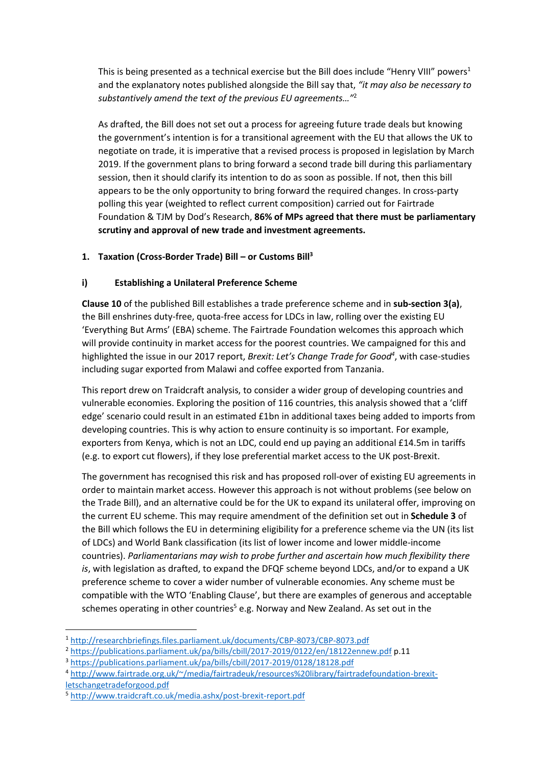This is being presented as a technical exercise but the Bill does include "Henry VIII" powers<sup>1</sup> and the explanatory notes published alongside the Bill say that, *"it may also be necessary to substantively amend the text of the previous EU agreements…"*<sup>2</sup>

As drafted, the Bill does not set out a process for agreeing future trade deals but knowing the government's intention is for a transitional agreement with the EU that allows the UK to negotiate on trade, it is imperative that a revised process is proposed in legislation by March 2019. If the government plans to bring forward a second trade bill during this parliamentary session, then it should clarify its intention to do as soon as possible. If not, then this bill appears to be the only opportunity to bring forward the required changes. In cross-party polling this year (weighted to reflect current composition) carried out for Fairtrade Foundation & TJM by Dod's Research, **86% of MPs agreed that there must be parliamentary scrutiny and approval of new trade and investment agreements.**

### **1. Taxation (Cross-Border Trade) Bill – or Customs Bill<sup>3</sup>**

### **i) Establishing a Unilateral Preference Scheme**

**Clause 10** of the published Bill establishes a trade preference scheme and in **sub-section 3(a)**, the Bill enshrines duty-free, quota-free access for LDCs in law, rolling over the existing EU 'Everything But Arms' (EBA) scheme. The Fairtrade Foundation welcomes this approach which will provide continuity in market access for the poorest countries. We campaigned for this and highlighted the issue in our 2017 report, *Brexit: Let's Change Trade for Good<sup>4</sup>* , with case-studies including sugar exported from Malawi and coffee exported from Tanzania.

This report drew on Traidcraft analysis, to consider a wider group of developing countries and vulnerable economies. Exploring the position of 116 countries, this analysis showed that a 'cliff edge' scenario could result in an estimated £1bn in additional taxes being added to imports from developing countries. This is why action to ensure continuity is so important. For example, exporters from Kenya, which is not an LDC, could end up paying an additional £14.5m in tariffs (e.g. to export cut flowers), if they lose preferential market access to the UK post-Brexit.

The government has recognised this risk and has proposed roll-over of existing EU agreements in order to maintain market access. However this approach is not without problems (see below on the Trade Bill), and an alternative could be for the UK to expand its unilateral offer, improving on the current EU scheme. This may require amendment of the definition set out in **Schedule 3** of the Bill which follows the EU in determining eligibility for a preference scheme via the UN (its list of LDCs) and World Bank classification (its list of lower income and lower middle-income countries). *Parliamentarians may wish to probe further and ascertain how much flexibility there is*, with legislation as drafted, to expand the DFQF scheme beyond LDCs, and/or to expand a UK preference scheme to cover a wider number of vulnerable economies. Any scheme must be compatible with the WTO 'Enabling Clause', but there are examples of generous and acceptable schemes operating in other countries<sup>5</sup> e.g. Norway and New Zealand. As set out in the

**<sup>.</sup>** <sup>1</sup> <http://researchbriefings.files.parliament.uk/documents/CBP-8073/CBP-8073.pdf>

<sup>2</sup> <https://publications.parliament.uk/pa/bills/cbill/2017-2019/0122/en/18122ennew.pdf> p.11

<sup>3</sup> <https://publications.parliament.uk/pa/bills/cbill/2017-2019/0128/18128.pdf>

<sup>4</sup> [http://www.fairtrade.org.uk/~/media/fairtradeuk/resources%20library/fairtradefoundation-brexit](http://www.fairtrade.org.uk/~/media/fairtradeuk/resources%20library/fairtradefoundation-brexit-letschangetradeforgood.pdf)[letschangetradeforgood.pdf](http://www.fairtrade.org.uk/~/media/fairtradeuk/resources%20library/fairtradefoundation-brexit-letschangetradeforgood.pdf)

<sup>5</sup> <http://www.traidcraft.co.uk/media.ashx/post-brexit-report.pdf>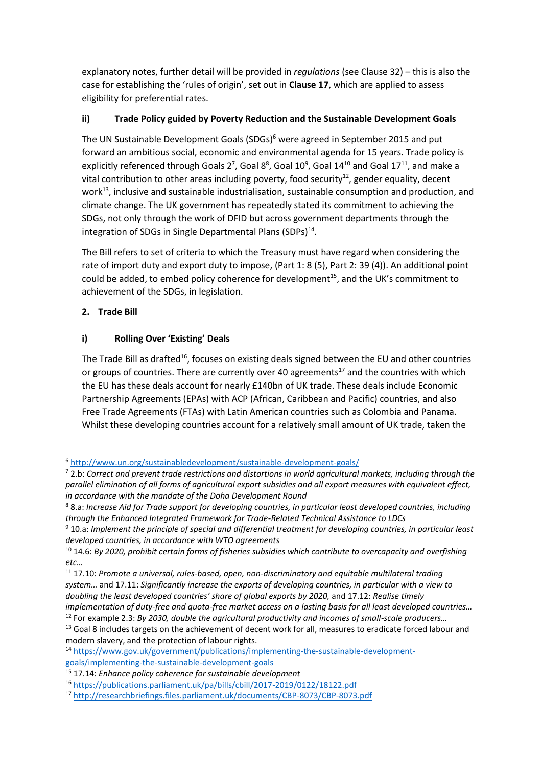explanatory notes, further detail will be provided in *regulations* (see Clause 32) – this is also the case for establishing the 'rules of origin', set out in **Clause 17**, which are applied to assess eligibility for preferential rates.

## **ii) Trade Policy guided by Poverty Reduction and the Sustainable Development Goals**

The UN Sustainable Development Goals (SDGs)<sup>6</sup> were agreed in September 2015 and put forward an ambitious social, economic and environmental agenda for 15 years. Trade policy is explicitly referenced through Goals 2<sup>7</sup>, Goal 8<sup>8</sup>, Goal 10<sup>9</sup>, Goal 14<sup>10</sup> and Goal 17<sup>11</sup>, and make a vital contribution to other areas including poverty, food security<sup>12</sup>, gender equality, decent work<sup>13</sup>, inclusive and sustainable industrialisation, sustainable consumption and production, and climate change. The UK government has repeatedly stated its commitment to achieving the SDGs, not only through the work of DFID but across government departments through the integration of SDGs in Single Departmental Plans (SDPs)<sup>14</sup>.

The Bill refers to set of criteria to which the Treasury must have regard when considering the rate of import duty and export duty to impose, (Part 1: 8 (5), Part 2: 39 (4)). An additional point could be added, to embed policy coherence for development<sup>15</sup>, and the UK's commitment to achievement of the SDGs, in legislation.

## **2. Trade Bill**

**.** 

## **i) Rolling Over 'Existing' Deals**

The Trade Bill as drafted<sup>16</sup>, focuses on existing deals signed between the EU and other countries or groups of countries. There are currently over 40 agreements<sup>17</sup> and the countries with which the EU has these deals account for nearly £140bn of UK trade. These deals include Economic Partnership Agreements (EPAs) with ACP (African, Caribbean and Pacific) countries, and also Free Trade Agreements (FTAs) with Latin American countries such as Colombia and Panama. Whilst these developing countries account for a relatively small amount of UK trade, taken the

<sup>6</sup> <http://www.un.org/sustainabledevelopment/sustainable-development-goals/>

<sup>7</sup> 2.b: *Correct and prevent trade restrictions and distortions in world agricultural markets, including through the parallel elimination of all forms of agricultural export subsidies and all export measures with equivalent effect, in accordance with the mandate of the Doha Development Round*

<sup>8</sup> 8.a: *Increase Aid for Trade support for developing countries, in particular least developed countries, including through the Enhanced Integrated Framework for Trade-Related Technical Assistance to LDCs*

<sup>9</sup> 10.a: *Implement the principle of special and differential treatment for developing countries, in particular least developed countries, in accordance with WTO agreements*

<sup>10</sup> 14.6: *By 2020, prohibit certain forms of fisheries subsidies which contribute to overcapacity and overfishing etc…*

<sup>11</sup> 17.10: *Promote a universal, rules-based, open, non-discriminatory and equitable multilateral trading system…* and 17.11: *Significantly increase the exports of developing countries, in particular with a view to doubling the least developed countries' share of global exports by 2020,* and 17.12: *Realise timely* 

*implementation of duty-free and quota-free market access on a lasting basis for all least developed countries…* <sup>12</sup> For example 2.3: *By 2030, double the agricultural productivity and incomes of small-scale producers…*

<sup>&</sup>lt;sup>13</sup> Goal 8 includes targets on the achievement of decent work for all, measures to eradicate forced labour and modern slavery, and the protection of labour rights.

<sup>14</sup> [https://www.gov.uk/government/publications/implementing-the-sustainable-development](https://www.gov.uk/government/publications/implementing-the-sustainable-development-goals/implementing-the-sustainable-development-goals)[goals/implementing-the-sustainable-development-goals](https://www.gov.uk/government/publications/implementing-the-sustainable-development-goals/implementing-the-sustainable-development-goals)

<sup>15</sup> 17.14: *Enhance policy coherence for sustainable development*

<sup>16</sup> <https://publications.parliament.uk/pa/bills/cbill/2017-2019/0122/18122.pdf>

<sup>17</sup> <http://researchbriefings.files.parliament.uk/documents/CBP-8073/CBP-8073.pdf>